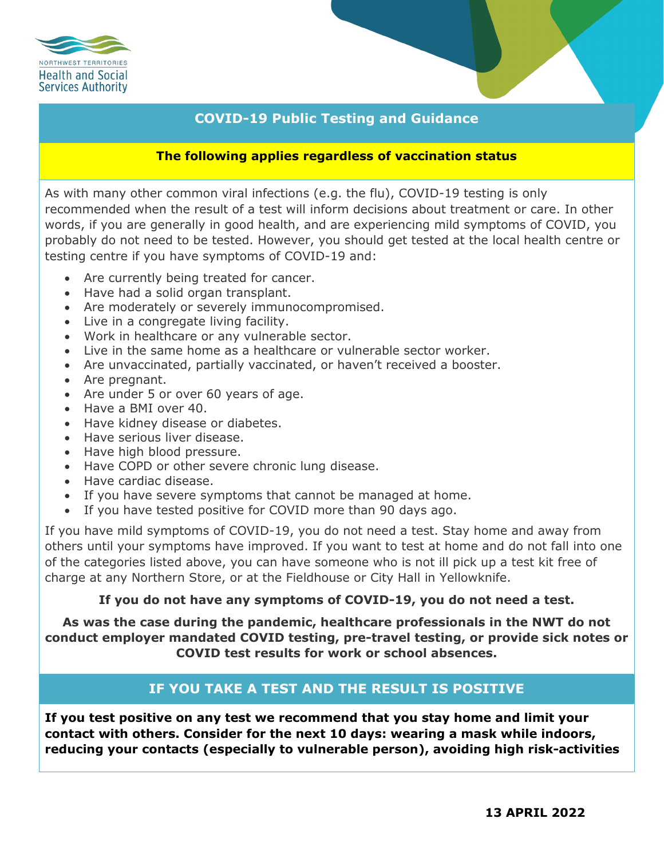

# **COVID-19 Public Testing and Guidance**

### **The following applies regardless of vaccination status**

As with many other common viral infections (e.g. the flu), COVID-19 testing is only recommended when the result of a test will inform decisions about treatment or care. In other words, if you are generally in good health, and are experiencing mild symptoms of COVID, you probably do not need to be tested. However, you should get tested at the local health centre or testing centre if you have symptoms of COVID-19 and:

- Are currently being treated for cancer.
- Have had a solid organ transplant.
- Are moderately or severely immunocompromised.
- Live in a congregate living facility.
- Work in healthcare or any vulnerable sector.
- Live in the same home as a healthcare or vulnerable sector worker.
- Are unvaccinated, partially vaccinated, or haven't received a booster.
- Are pregnant.
- Are under 5 or over 60 years of age.
- Have a BMI over 40.
- Have kidney disease or diabetes.
- Have serious liver disease.
- Have high blood pressure.
- Have COPD or other severe chronic lung disease.
- Have cardiac disease.
- If you have severe symptoms that cannot be managed at home.
- If you have tested positive for COVID more than 90 days ago.

If you have mild symptoms of COVID-19, you do not need a test. Stay home and away from others until your symptoms have improved. If you want to test at home and do not fall into one of the categories listed above, you can have someone who is not ill pick up a test kit free of charge at any Northern Store, or at the Fieldhouse or City Hall in Yellowknife.

### **If you do not have any symptoms of COVID-19, you do not need a test.**

**As was the case during the pandemic, healthcare professionals in the NWT do not conduct employer mandated COVID testing, pre-travel testing, or provide sick notes or COVID test results for work or school absences.**

# **IF YOU TAKE A TEST AND THE RESULT IS POSITIVE**

**If you test positive on any test we recommend that you stay home and limit your contact with others. Consider for the next 10 days: wearing a mask while indoors, reducing your contacts (especially to vulnerable person), avoiding high risk-activities**